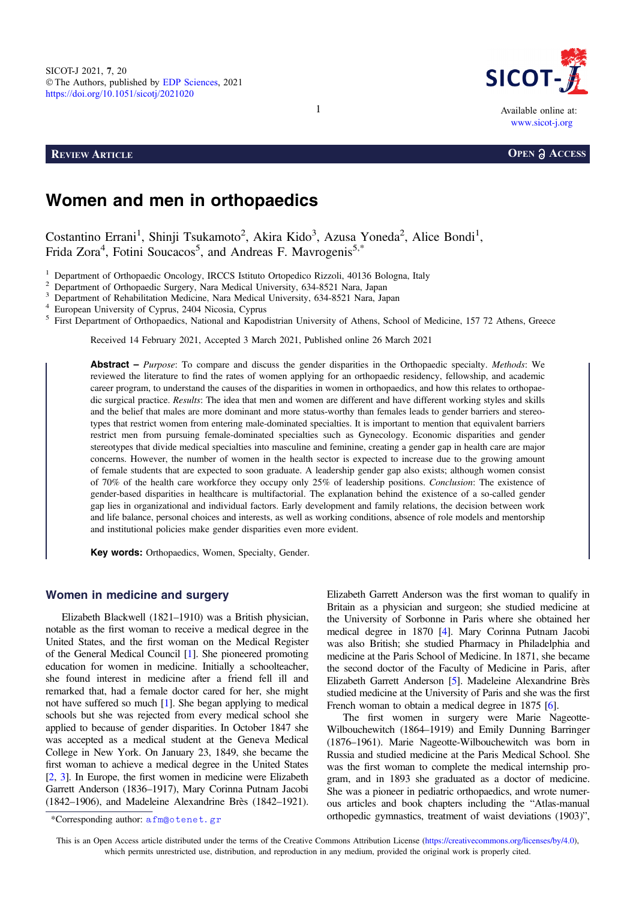

# Women and men in orthopaedics

Costantino Errani<sup>1</sup>, Shinji Tsukamoto<sup>2</sup>, Akira Kido<sup>3</sup>, Azusa Yoneda<sup>2</sup>, Alice Bondi<sup>1</sup>, Frida Zora<sup>4</sup>, Fotini Soucacos<sup>5</sup>, and Andreas F. Mavrogenis<sup>5,\*</sup>

<sup>1</sup> Department of Orthopaedic Oncology, IRCCS Istituto Ortopedico Rizzoli, 40136 Bologna, Italy<br>
<sup>2</sup> Department of Orthopaedic Surgery, Nara Medical University, 634-8521 Nara, Japan<br>
<sup>3</sup> Department of Rehabilitation Medic

Received 14 February 2021, Accepted 3 March 2021, Published online 26 March 2021

**Abstract** – *Purpose*: To compare and discuss the gender disparities in the Orthopaedic specialty. *Methods*: We reviewed the literature to find the rates of women applying for an orthopaedic residency, fellowship, and academic career program, to understand the causes of the disparities in women in orthopaedics, and how this relates to orthopaedic surgical practice. Results: The idea that men and women are different and have different working styles and skills and the belief that males are more dominant and more status-worthy than females leads to gender barriers and stereotypes that restrict women from entering male-dominated specialties. It is important to mention that equivalent barriers restrict men from pursuing female-dominated specialties such as Gynecology. Economic disparities and gender stereotypes that divide medical specialties into masculine and feminine, creating a gender gap in health care are major concerns. However, the number of women in the health sector is expected to increase due to the growing amount of female students that are expected to soon graduate. A leadership gender gap also exists; although women consist of 70% of the health care workforce they occupy only 25% of leadership positions. Conclusion: The existence of gender-based disparities in healthcare is multifactorial. The explanation behind the existence of a so-called gender gap lies in organizational and individual factors. Early development and family relations, the decision between work and life balance, personal choices and interests, as well as working conditions, absence of role models and mentorship and institutional policies make gender disparities even more evident.

Key words: Orthopaedics, Women, Specialty, Gender.

## Women in medicine and surgery

Elizabeth Blackwell (1821–1910) was a British physician, notable as the first woman to receive a medical degree in the United States, and the first woman on the Medical Register of the General Medical Council [[1](#page-4-0)]. She pioneered promoting education for women in medicine. Initially a schoolteacher, she found interest in medicine after a friend fell ill and remarked that, had a female doctor cared for her, she might not have suffered so much [[1\]](#page-4-0). She began applying to medical schools but she was rejected from every medical school she applied to because of gender disparities. In October 1847 she was accepted as a medical student at the Geneva Medical College in New York. On January 23, 1849, she became the first woman to achieve a medical degree in the United States [[2](#page-4-0), [3](#page-4-0)]. In Europe, the first women in medicine were Elizabeth Garrett Anderson (1836–1917), Mary Corinna Putnam Jacobi (1842–1906), and Madeleine Alexandrine Brès (1842–1921).

Elizabeth Garrett Anderson was the first woman to qualify in Britain as a physician and surgeon; she studied medicine at the University of Sorbonne in Paris where she obtained her medical degree in 1870 [\[4\]](#page-4-0). Mary Corinna Putnam Jacobi was also British; she studied Pharmacy in Philadelphia and medicine at the Paris School of Medicine. In 1871, she became the second doctor of the Faculty of Medicine in Paris, after Elizabeth Garrett Anderson [\[5\]](#page-4-0). Madeleine Alexandrine Brès studied medicine at the University of Paris and she was the first French woman to obtain a medical degree in 1875 [[6\]](#page-4-0).

The first women in surgery were Marie Nageotte-Wilbouchewitch (1864–1919) and Emily Dunning Barringer (1876–1961). Marie Nageotte-Wilbouchewitch was born in Russia and studied medicine at the Paris Medical School. She was the first woman to complete the medical internship program, and in 1893 she graduated as a doctor of medicine. She was a pioneer in pediatric orthopaedics, and wrote numerous articles and book chapters including the "Atlas-manual \*Corresponding author: a fm@otenet.gr corresponding author: a fm@otenet.gr corresponding author: a fm@otenet.gr

This is an Open Access article distributed under the terms of the Creative Commons Attribution License [\(https://creativecommons.org/licenses/by/4.0](https://creativecommons.org/licenses/by/4.0/)), which permits unrestricted use, distribution, and reproduction in any medium, provided the original work is properly cited.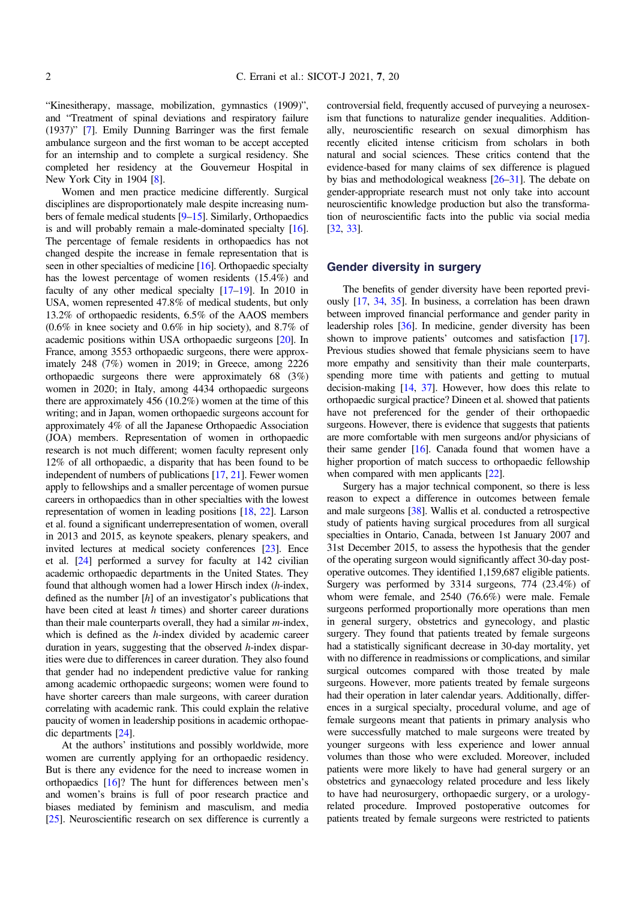"Kinesitherapy, massage, mobilization, gymnastics (1909)", and "Treatment of spinal deviations and respiratory failure (1937)" [[7](#page-4-0)]. Emily Dunning Barringer was the first female ambulance surgeon and the first woman to be accept accepted for an internship and to complete a surgical residency. She completed her residency at the Gouverneur Hospital in New York City in 1904 [[8](#page-4-0)].

Women and men practice medicine differently. Surgical disciplines are disproportionately male despite increasing numbers of female medical students [\[9](#page-4-0)–[15\]](#page-4-0). Similarly, Orthopaedics is and will probably remain a male-dominated specialty [\[16](#page-4-0)]. The percentage of female residents in orthopaedics has not changed despite the increase in female representation that is seen in other specialties of medicine [[16](#page-4-0)]. Orthopaedic specialty has the lowest percentage of women residents (15.4%) and faculty of any other medical specialty [[17](#page-4-0)–[19](#page-5-0)]. In 2010 in USA, women represented 47.8% of medical students, but only 13.2% of orthopaedic residents, 6.5% of the AAOS members (0.6% in knee society and 0.6% in hip society), and 8.7% of academic positions within USA orthopaedic surgeons [\[20\]](#page-5-0). In France, among 3553 orthopaedic surgeons, there were approximately 248 (7%) women in 2019; in Greece, among 2226 orthopaedic surgeons there were approximately 68 (3%) women in 2020; in Italy, among 4434 orthopaedic surgeons there are approximately 456 (10.2%) women at the time of this writing; and in Japan, women orthopaedic surgeons account for approximately 4% of all the Japanese Orthopaedic Association (JOA) members. Representation of women in orthopaedic research is not much different; women faculty represent only 12% of all orthopaedic, a disparity that has been found to be independent of numbers of publications [[17](#page-4-0), [21\]](#page-5-0). Fewer women apply to fellowships and a smaller percentage of women pursue careers in orthopaedics than in other specialties with the lowest representation of women in leading positions [[18,](#page-5-0) [22](#page-5-0)]. Larson et al. found a significant underrepresentation of women, overall in 2013 and 2015, as keynote speakers, plenary speakers, and invited lectures at medical society conferences [\[23\]](#page-5-0). Ence et al. [[24\]](#page-5-0) performed a survey for faculty at 142 civilian academic orthopaedic departments in the United States. They found that although women had a lower Hirsch index (h-index, defined as the number  $[h]$  of an investigator's publications that have been cited at least  $h$  times) and shorter career durations than their male counterparts overall, they had a similar  $m$ -index, which is defined as the  $h$ -index divided by academic career duration in years, suggesting that the observed *h*-index disparities were due to differences in career duration. They also found that gender had no independent predictive value for ranking among academic orthopaedic surgeons; women were found to have shorter careers than male surgeons, with career duration correlating with academic rank. This could explain the relative paucity of women in leadership positions in academic orthopaedic departments [[24](#page-5-0)].

At the authors' institutions and possibly worldwide, more women are currently applying for an orthopaedic residency. But is there any evidence for the need to increase women in orthopaedics [\[16](#page-4-0)]? The hunt for differences between men's and women's brains is full of poor research practice and biases mediated by feminism and masculism, and media [[25](#page-5-0)]. Neuroscientific research on sex difference is currently a

controversial field, frequently accused of purveying a neurosexism that functions to naturalize gender inequalities. Additionally, neuroscientific research on sexual dimorphism has recently elicited intense criticism from scholars in both natural and social sciences. These critics contend that the evidence-based for many claims of sex difference is plagued by bias and methodological weakness [\[26](#page-5-0)–[31](#page-5-0)]. The debate on gender-appropriate research must not only take into account neuroscientific knowledge production but also the transformation of neuroscientific facts into the public via social media [[32](#page-5-0), [33\]](#page-5-0).

#### Gender diversity in surgery

The benefits of gender diversity have been reported previously [[17](#page-4-0), [34](#page-5-0), [35](#page-5-0)]. In business, a correlation has been drawn between improved financial performance and gender parity in leadership roles [[36](#page-5-0)]. In medicine, gender diversity has been shown to improve patients' outcomes and satisfaction [[17](#page-4-0)]. Previous studies showed that female physicians seem to have more empathy and sensitivity than their male counterparts, spending more time with patients and getting to mutual decision-making [\[14,](#page-4-0) [37\]](#page-5-0). However, how does this relate to orthopaedic surgical practice? Dineen et al. showed that patients have not preferenced for the gender of their orthopaedic surgeons. However, there is evidence that suggests that patients are more comfortable with men surgeons and/or physicians of their same gender [[16](#page-4-0)]. Canada found that women have a higher proportion of match success to orthopaedic fellowship when compared with men applicants [\[22](#page-5-0)].

Surgery has a major technical component, so there is less reason to expect a difference in outcomes between female and male surgeons [\[38](#page-5-0)]. Wallis et al. conducted a retrospective study of patients having surgical procedures from all surgical specialties in Ontario, Canada, between 1st January 2007 and 31st December 2015, to assess the hypothesis that the gender of the operating surgeon would significantly affect 30-day postoperative outcomes. They identified 1,159,687 eligible patients. Surgery was performed by 3314 surgeons, 774 (23.4%) of whom were female, and 2540 (76.6%) were male. Female surgeons performed proportionally more operations than men in general surgery, obstetrics and gynecology, and plastic surgery. They found that patients treated by female surgeons had a statistically significant decrease in 30-day mortality, yet with no difference in readmissions or complications, and similar surgical outcomes compared with those treated by male surgeons. However, more patients treated by female surgeons had their operation in later calendar years. Additionally, differences in a surgical specialty, procedural volume, and age of female surgeons meant that patients in primary analysis who were successfully matched to male surgeons were treated by younger surgeons with less experience and lower annual volumes than those who were excluded. Moreover, included patients were more likely to have had general surgery or an obstetrics and gynaecology related procedure and less likely to have had neurosurgery, orthopaedic surgery, or a urologyrelated procedure. Improved postoperative outcomes for patients treated by female surgeons were restricted to patients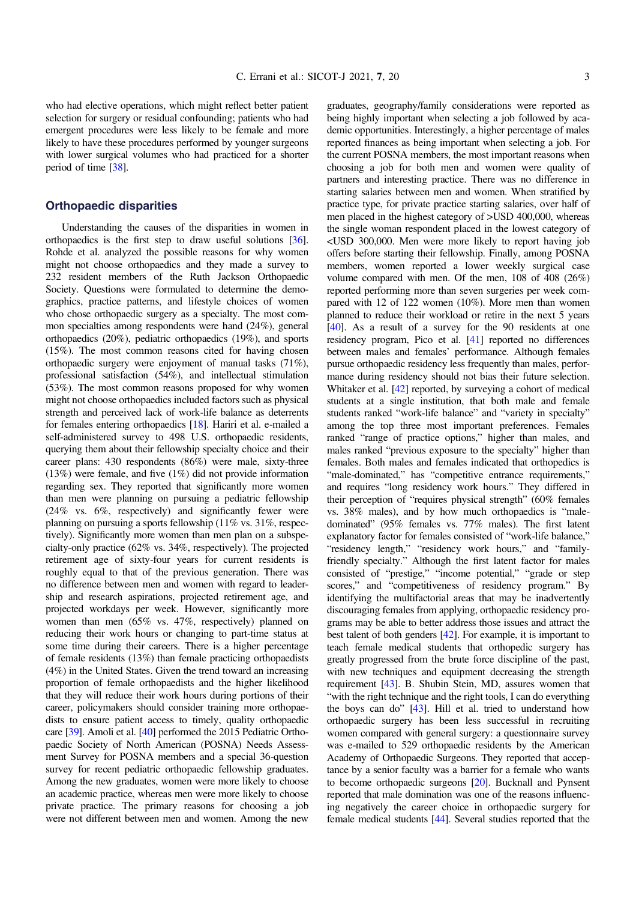who had elective operations, which might reflect better patient selection for surgery or residual confounding; patients who had emergent procedures were less likely to be female and more likely to have these procedures performed by younger surgeons with lower surgical volumes who had practiced for a shorter period of time [[38\]](#page-5-0).

#### Orthopaedic disparities

Understanding the causes of the disparities in women in orthopaedics is the first step to draw useful solutions [\[36](#page-5-0)]. Rohde et al. analyzed the possible reasons for why women might not choose orthopaedics and they made a survey to 232 resident members of the Ruth Jackson Orthopaedic Society. Questions were formulated to determine the demographics, practice patterns, and lifestyle choices of women who chose orthopaedic surgery as a specialty. The most common specialties among respondents were hand (24%), general orthopaedics (20%), pediatric orthopaedics (19%), and sports (15%). The most common reasons cited for having chosen orthopaedic surgery were enjoyment of manual tasks (71%), professional satisfaction (54%), and intellectual stimulation (53%). The most common reasons proposed for why women might not choose orthopaedics included factors such as physical strength and perceived lack of work-life balance as deterrents for females entering orthopaedics [[18](#page-5-0)]. Hariri et al. e-mailed a self-administered survey to 498 U.S. orthopaedic residents, querying them about their fellowship specialty choice and their career plans: 430 respondents (86%) were male, sixty-three (13%) were female, and five (1%) did not provide information regarding sex. They reported that significantly more women than men were planning on pursuing a pediatric fellowship (24% vs. 6%, respectively) and significantly fewer were planning on pursuing a sports fellowship (11% vs. 31%, respectively). Significantly more women than men plan on a subspecialty-only practice (62% vs. 34%, respectively). The projected retirement age of sixty-four years for current residents is roughly equal to that of the previous generation. There was no difference between men and women with regard to leadership and research aspirations, projected retirement age, and projected workdays per week. However, significantly more women than men (65% vs. 47%, respectively) planned on reducing their work hours or changing to part-time status at some time during their careers. There is a higher percentage of female residents (13%) than female practicing orthopaedists (4%) in the United States. Given the trend toward an increasing proportion of female orthopaedists and the higher likelihood that they will reduce their work hours during portions of their career, policymakers should consider training more orthopaedists to ensure patient access to timely, quality orthopaedic care [[39\]](#page-5-0). Amoli et al. [\[40](#page-5-0)] performed the 2015 Pediatric Orthopaedic Society of North American (POSNA) Needs Assessment Survey for POSNA members and a special 36-question survey for recent pediatric orthopaedic fellowship graduates. Among the new graduates, women were more likely to choose an academic practice, whereas men were more likely to choose private practice. The primary reasons for choosing a job were not different between men and women. Among the new

graduates, geography/family considerations were reported as being highly important when selecting a job followed by academic opportunities. Interestingly, a higher percentage of males reported finances as being important when selecting a job. For the current POSNA members, the most important reasons when choosing a job for both men and women were quality of partners and interesting practice. There was no difference in starting salaries between men and women. When stratified by practice type, for private practice starting salaries, over half of men placed in the highest category of >USD 400,000, whereas the single woman respondent placed in the lowest category of <USD 300,000. Men were more likely to report having job offers before starting their fellowship. Finally, among POSNA members, women reported a lower weekly surgical case volume compared with men. Of the men, 108 of 408 (26%) reported performing more than seven surgeries per week compared with 12 of 122 women (10%). More men than women planned to reduce their workload or retire in the next 5 years [[40](#page-5-0)]. As a result of a survey for the 90 residents at one residency program, Pico et al. [\[41\]](#page-5-0) reported no differences between males and females' performance. Although females pursue orthopaedic residency less frequently than males, performance during residency should not bias their future selection. Whitaker et al. [\[42\]](#page-5-0) reported, by surveying a cohort of medical students at a single institution, that both male and female students ranked "work-life balance" and "variety in specialty" among the top three most important preferences. Females ranked "range of practice options," higher than males, and males ranked "previous exposure to the specialty" higher than females. Both males and females indicated that orthopedics is "male-dominated," has "competitive entrance requirements," and requires "long residency work hours." They differed in their perception of "requires physical strength" (60% females vs. 38% males), and by how much orthopaedics is "maledominated" (95% females vs. 77% males). The first latent explanatory factor for females consisted of "work-life balance," "residency length," "residency work hours," and "familyfriendly specialty." Although the first latent factor for males consisted of "prestige," "income potential," "grade or step scores," and "competitiveness of residency program." By identifying the multifactorial areas that may be inadvertently discouraging females from applying, orthopaedic residency programs may be able to better address those issues and attract the best talent of both genders [\[42](#page-5-0)]. For example, it is important to teach female medical students that orthopedic surgery has greatly progressed from the brute force discipline of the past, with new techniques and equipment decreasing the strength requirement [\[43\]](#page-5-0). B. Shubin Stein, MD, assures women that "with the right technique and the right tools, I can do everything the boys can do" [\[43\]](#page-5-0). Hill et al. tried to understand how orthopaedic surgery has been less successful in recruiting women compared with general surgery: a questionnaire survey was e-mailed to 529 orthopaedic residents by the American Academy of Orthopaedic Surgeons. They reported that acceptance by a senior faculty was a barrier for a female who wants to become orthopaedic surgeons [\[20\]](#page-5-0). Bucknall and Pynsent reported that male domination was one of the reasons influencing negatively the career choice in orthopaedic surgery for female medical students [\[44\]](#page-5-0). Several studies reported that the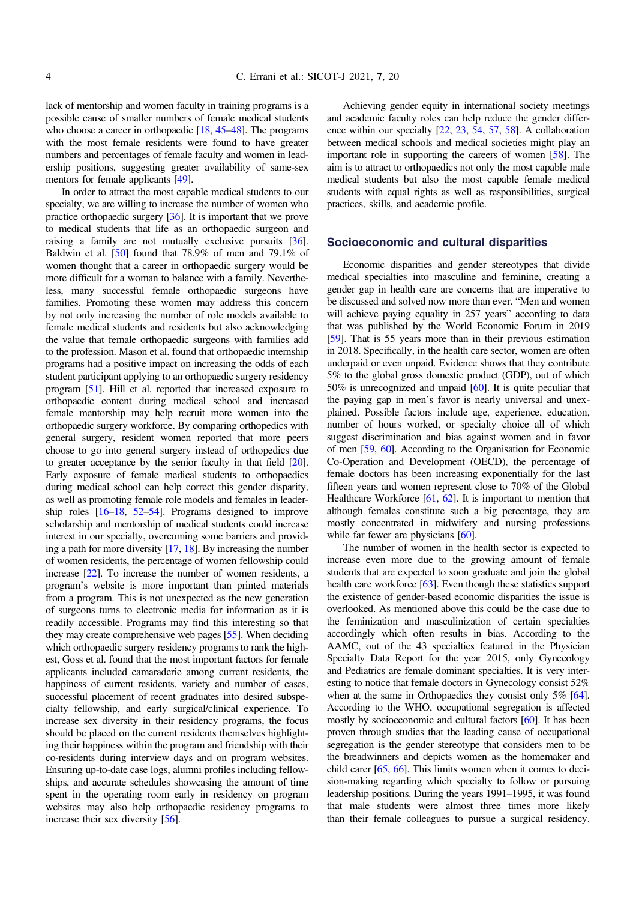lack of mentorship and women faculty in training programs is a possible cause of smaller numbers of female medical students who choose a career in orthopaedic [\[18,](#page-5-0) [45](#page-5-0)–[48](#page-5-0)]. The programs with the most female residents were found to have greater numbers and percentages of female faculty and women in leadership positions, suggesting greater availability of same-sex mentors for female applicants [\[49\]](#page-5-0).

In order to attract the most capable medical students to our specialty, we are willing to increase the number of women who practice orthopaedic surgery [\[36\]](#page-5-0). It is important that we prove to medical students that life as an orthopaedic surgeon and raising a family are not mutually exclusive pursuits [\[36](#page-5-0)]. Baldwin et al. [\[50\]](#page-5-0) found that 78.9% of men and 79.1% of women thought that a career in orthopaedic surgery would be more difficult for a woman to balance with a family. Nevertheless, many successful female orthopaedic surgeons have families. Promoting these women may address this concern by not only increasing the number of role models available to female medical students and residents but also acknowledging the value that female orthopaedic surgeons with families add to the profession. Mason et al. found that orthopaedic internship programs had a positive impact on increasing the odds of each student participant applying to an orthopaedic surgery residency program [\[51](#page-5-0)]. Hill et al. reported that increased exposure to orthopaedic content during medical school and increased female mentorship may help recruit more women into the orthopaedic surgery workforce. By comparing orthopedics with general surgery, resident women reported that more peers choose to go into general surgery instead of orthopedics due to greater acceptance by the senior faculty in that field [\[20](#page-5-0)]. Early exposure of female medical students to orthopaedics during medical school can help correct this gender disparity, as well as promoting female role models and females in leadership roles [[16](#page-4-0)–[18,](#page-5-0) [52](#page-5-0)–[54](#page-5-0)]. Programs designed to improve scholarship and mentorship of medical students could increase interest in our specialty, overcoming some barriers and providing a path for more diversity [\[17,](#page-4-0) [18](#page-5-0)]. By increasing the number of women residents, the percentage of women fellowship could increase [[22](#page-5-0)]. To increase the number of women residents, a program's website is more important than printed materials from a program. This is not unexpected as the new generation of surgeons turns to electronic media for information as it is readily accessible. Programs may find this interesting so that they may create comprehensive web pages [[55](#page-5-0)]. When deciding which orthopaedic surgery residency programs to rank the highest, Goss et al. found that the most important factors for female applicants included camaraderie among current residents, the happiness of current residents, variety and number of cases, successful placement of recent graduates into desired subspecialty fellowship, and early surgical/clinical experience. To increase sex diversity in their residency programs, the focus should be placed on the current residents themselves highlighting their happiness within the program and friendship with their co-residents during interview days and on program websites. Ensuring up-to-date case logs, alumni profiles including fellowships, and accurate schedules showcasing the amount of time spent in the operating room early in residency on program websites may also help orthopaedic residency programs to increase their sex diversity [\[56\]](#page-5-0).

Achieving gender equity in international society meetings and academic faculty roles can help reduce the gender difference within our specialty [\[22](#page-5-0), [23](#page-5-0), [54,](#page-5-0) [57](#page-6-0), [58](#page-6-0)]. A collaboration between medical schools and medical societies might play an important role in supporting the careers of women [[58](#page-6-0)]. The aim is to attract to orthopaedics not only the most capable male medical students but also the most capable female medical students with equal rights as well as responsibilities, surgical practices, skills, and academic profile.

### Socioeconomic and cultural disparities

Economic disparities and gender stereotypes that divide medical specialties into masculine and feminine, creating a gender gap in health care are concerns that are imperative to be discussed and solved now more than ever. "Men and women will achieve paying equality in 257 years" according to data that was published by the World Economic Forum in 2019 [[59](#page-6-0)]. That is 55 years more than in their previous estimation in 2018. Specifically, in the health care sector, women are often underpaid or even unpaid. Evidence shows that they contribute 5% to the global gross domestic product (GDP), out of which 50% is unrecognized and unpaid [\[60\]](#page-6-0). It is quite peculiar that the paying gap in men's favor is nearly universal and unexplained. Possible factors include age, experience, education, number of hours worked, or specialty choice all of which suggest discrimination and bias against women and in favor of men [\[59](#page-6-0), [60\]](#page-6-0). According to the Organisation for Economic Co-Operation and Development (OECD), the percentage of female doctors has been increasing exponentially for the last fifteen years and women represent close to 70% of the Global Healthcare Workforce [\[61,](#page-6-0) [62](#page-6-0)]. It is important to mention that although females constitute such a big percentage, they are mostly concentrated in midwifery and nursing professions while far fewer are physicians [[60](#page-6-0)].

The number of women in the health sector is expected to increase even more due to the growing amount of female students that are expected to soon graduate and join the global health care workforce [\[63\]](#page-6-0). Even though these statistics support the existence of gender-based economic disparities the issue is overlooked. As mentioned above this could be the case due to the feminization and masculinization of certain specialties accordingly which often results in bias. According to the AAMC, out of the 43 specialties featured in the Physician Specialty Data Report for the year 2015, only Gynecology and Pediatrics are female dominant specialties. It is very interesting to notice that female doctors in Gynecology consist 52% when at the same in Orthopaedics they consist only 5% [[64](#page-6-0)]. According to the WHO, occupational segregation is affected mostly by socioeconomic and cultural factors [[60](#page-6-0)]. It has been proven through studies that the leading cause of occupational segregation is the gender stereotype that considers men to be the breadwinners and depicts women as the homemaker and child carer [[65](#page-6-0), [66](#page-6-0)]. This limits women when it comes to decision-making regarding which specialty to follow or pursuing leadership positions. During the years 1991–1995, it was found that male students were almost three times more likely than their female colleagues to pursue a surgical residency.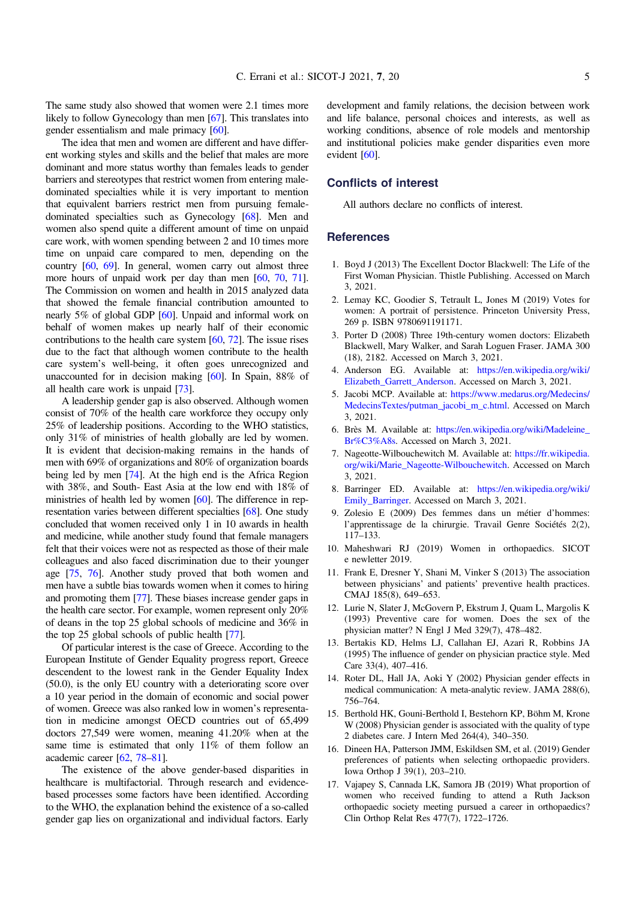<span id="page-4-0"></span>The same study also showed that women were 2.1 times more likely to follow Gynecology than men [[67](#page-6-0)]. This translates into gender essentialism and male primacy [[60](#page-6-0)].

The idea that men and women are different and have different working styles and skills and the belief that males are more dominant and more status worthy than females leads to gender barriers and stereotypes that restrict women from entering maledominated specialties while it is very important to mention that equivalent barriers restrict men from pursuing femaledominated specialties such as Gynecology [[68](#page-6-0)]. Men and women also spend quite a different amount of time on unpaid care work, with women spending between 2 and 10 times more time on unpaid care compared to men, depending on the country [[60](#page-6-0), [69](#page-6-0)]. In general, women carry out almost three more hours of unpaid work per day than men [\[60](#page-6-0), [70,](#page-6-0) [71](#page-6-0)]. The Commission on women and health in 2015 analyzed data that showed the female financial contribution amounted to nearly 5% of global GDP [[60](#page-6-0)]. Unpaid and informal work on behalf of women makes up nearly half of their economic contributions to the health care system  $[60, 72]$  $[60, 72]$  $[60, 72]$  $[60, 72]$  $[60, 72]$ . The issue rises due to the fact that although women contribute to the health care system's well-being, it often goes unrecognized and unaccounted for in decision making [\[60\]](#page-6-0). In Spain, 88% of all health care work is unpaid [\[73\]](#page-6-0).

A leadership gender gap is also observed. Although women consist of 70% of the health care workforce they occupy only 25% of leadership positions. According to the WHO statistics, only 31% of ministries of health globally are led by women. It is evident that decision-making remains in the hands of men with 69% of organizations and 80% of organization boards being led by men [\[74\]](#page-6-0). At the high end is the Africa Region with 38%, and South- East Asia at the low end with 18% of ministries of health led by women [\[60](#page-6-0)]. The difference in representation varies between different specialties [\[68](#page-6-0)]. One study concluded that women received only 1 in 10 awards in health and medicine, while another study found that female managers felt that their voices were not as respected as those of their male colleagues and also faced discrimination due to their younger age [\[75](#page-6-0), [76\]](#page-6-0). Another study proved that both women and men have a subtle bias towards women when it comes to hiring and promoting them [\[77\]](#page-6-0). These biases increase gender gaps in the health care sector. For example, women represent only 20% of deans in the top 25 global schools of medicine and 36% in the top 25 global schools of public health [[77](#page-6-0)].

Of particular interest is the case of Greece. According to the European Institute of Gender Equality progress report, Greece descendent to the lowest rank in the Gender Equality Index (50.0), is the only EU country with a deteriorating score over a 10 year period in the domain of economic and social power of women. Greece was also ranked low in women's representation in medicine amongst OECD countries out of 65,499 doctors 27,549 were women, meaning 41.20% when at the same time is estimated that only 11% of them follow an academic career [\[62](#page-6-0), [78](#page-6-0)–[81](#page-6-0)].

The existence of the above gender-based disparities in healthcare is multifactorial. Through research and evidencebased processes some factors have been identified. According to the WHO, the explanation behind the existence of a so-called gender gap lies on organizational and individual factors. Early

development and family relations, the decision between work and life balance, personal choices and interests, as well as working conditions, absence of role models and mentorship and institutional policies make gender disparities even more evident [\[60\]](#page-6-0).

### Conflicts of interest

All authors declare no conflicts of interest.

#### **References**

- 1. Boyd J (2013) The Excellent Doctor Blackwell: The Life of the First Woman Physician. Thistle Publishing. Accessed on March 3, 2021.
- 2. Lemay KC, Goodier S, Tetrault L, Jones M (2019) Votes for women: A portrait of persistence. Princeton University Press, 269 p. ISBN 9780691191171.
- 3. Porter D (2008) Three 19th-century women doctors: Elizabeth Blackwell, Mary Walker, and Sarah Loguen Fraser. JAMA 300 (18), 2182. Accessed on March 3, 2021.
- 4. Anderson EG. Available at: [https://en.wikipedia.org/wiki/](https://en.wikipedia.org/wiki/Elizabeth_Garrett_Anderson) [Elizabeth\\_Garrett\\_Anderson](https://en.wikipedia.org/wiki/Elizabeth_Garrett_Anderson). Accessed on March 3, 2021.
- 5. Jacobi MCP. Available at: [https://www.medarus.org/Medecins/](https://www.medarus.org/Medecins/MedecinsTextes/putman_jacobi_m_c.html) [MedecinsTextes/putman\\_jacobi\\_m\\_c.html.](https://www.medarus.org/Medecins/MedecinsTextes/putman_jacobi_m_c.html) Accessed on March 3, 2021.
- 6. Brès M. Available at: [https://en.wikipedia.org/wiki/Madeleine\\_](https://en.wikipedia.org/wiki/Madeleine_Br%C3%A8s) [Br%C3%A8s.](https://en.wikipedia.org/wiki/Madeleine_Br%C3%A8s) Accessed on March 3, 2021.
- 7. Nageotte-Wilbouchewitch M. Available at: [https://fr.wikipedia.](https://fr.wikipedia.org/wiki/Marie_Nageotte-Wilbouchewitch) [org/wiki/Marie\\_Nageotte-Wilbouchewitch.](https://fr.wikipedia.org/wiki/Marie_Nageotte-Wilbouchewitch) Accessed on March 3, 2021.
- 8. Barringer ED. Available at: [https://en.wikipedia.org/wiki/](https://en.wikipedia.org/wiki/Emily_Barringer) [Emily\\_Barringer](https://en.wikipedia.org/wiki/Emily_Barringer). Accessed on March 3, 2021.
- 9. Zolesio E (2009) Des femmes dans un métier d'hommes: l'apprentissage de la chirurgie. Travail Genre Sociétés 2(2), 117–133.
- 10. Maheshwari RJ (2019) Women in orthopaedics. SICOT e newletter 2019.
- 11. Frank E, Dresner Y, Shani M, Vinker S (2013) The association between physicians' and patients' preventive health practices. CMAJ 185(8), 649–653.
- 12. Lurie N, Slater J, McGovern P, Ekstrum J, Quam L, Margolis K (1993) Preventive care for women. Does the sex of the physician matter? N Engl J Med 329(7), 478–482.
- 13. Bertakis KD, Helms LJ, Callahan EJ, Azari R, Robbins JA (1995) The influence of gender on physician practice style. Med Care 33(4), 407–416.
- 14. Roter DL, Hall JA, Aoki Y (2002) Physician gender effects in medical communication: A meta-analytic review. JAMA 288(6), 756–764.
- 15. Berthold HK, Gouni-Berthold I, Bestehorn KP, Böhm M, Krone W (2008) Physician gender is associated with the quality of type 2 diabetes care. J Intern Med 264(4), 340–350.
- 16. Dineen HA, Patterson JMM, Eskildsen SM, et al. (2019) Gender preferences of patients when selecting orthopaedic providers. Iowa Orthop J 39(1), 203–210.
- 17. Vajapey S, Cannada LK, Samora JB (2019) What proportion of women who received funding to attend a Ruth Jackson orthopaedic society meeting pursued a career in orthopaedics? Clin Orthop Relat Res 477(7), 1722–1726.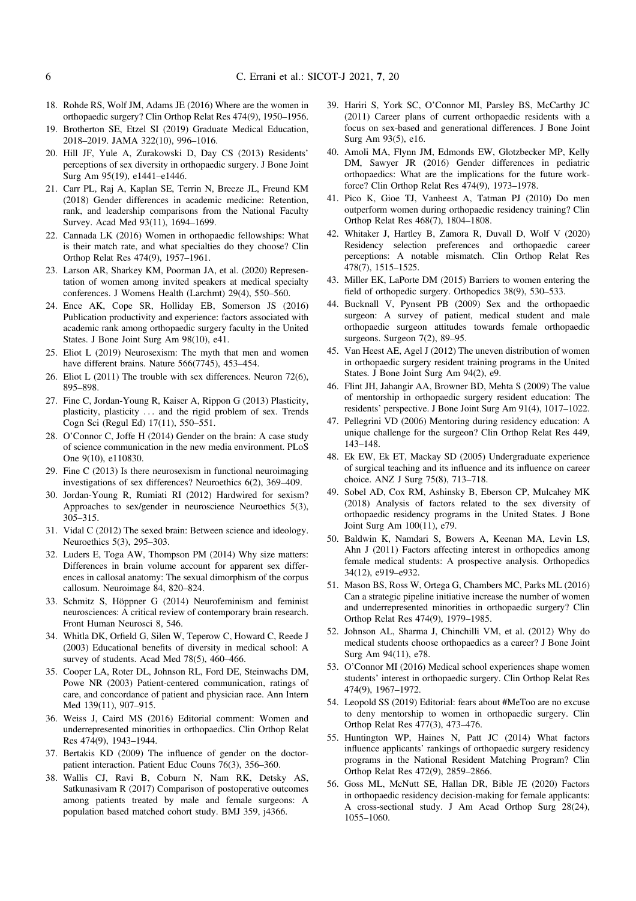- <span id="page-5-0"></span>18. Rohde RS, Wolf JM, Adams JE (2016) Where are the women in orthopaedic surgery? Clin Orthop Relat Res 474(9), 1950–1956.
- 19. Brotherton SE, Etzel SI (2019) Graduate Medical Education, 2018–2019. JAMA 322(10), 996–1016.
- 20. Hill JF, Yule A, Zurakowski D, Day CS (2013) Residents' perceptions of sex diversity in orthopaedic surgery. J Bone Joint Surg Am 95(19), e1441–e1446.
- 21. Carr PL, Raj A, Kaplan SE, Terrin N, Breeze JL, Freund KM (2018) Gender differences in academic medicine: Retention, rank, and leadership comparisons from the National Faculty Survey. Acad Med 93(11), 1694–1699.
- 22. Cannada LK (2016) Women in orthopaedic fellowships: What is their match rate, and what specialties do they choose? Clin Orthop Relat Res 474(9), 1957–1961.
- 23. Larson AR, Sharkey KM, Poorman JA, et al. (2020) Representation of women among invited speakers at medical specialty conferences. J Womens Health (Larchmt) 29(4), 550–560.
- 24. Ence AK, Cope SR, Holliday EB, Somerson JS (2016) Publication productivity and experience: factors associated with academic rank among orthopaedic surgery faculty in the United States. J Bone Joint Surg Am 98(10), e41.
- 25. Eliot L (2019) Neurosexism: The myth that men and women have different brains. Nature 566(7745), 453-454.
- 26. Eliot L (2011) The trouble with sex differences. Neuron 72(6), 895–898.
- 27. Fine C, Jordan-Young R, Kaiser A, Rippon G (2013) Plasticity, plasticity, plasticity ... and the rigid problem of sex. Trends Cogn Sci (Regul Ed) 17(11), 550–551.
- 28. O'Connor C, Joffe H (2014) Gender on the brain: A case study of science communication in the new media environment. PLoS One 9(10), e110830.
- 29. Fine C (2013) Is there neurosexism in functional neuroimaging investigations of sex differences? Neuroethics 6(2), 369–409.
- 30. Jordan-Young R, Rumiati RI (2012) Hardwired for sexism? Approaches to sex/gender in neuroscience Neuroethics 5(3), 305–315.
- 31. Vidal C (2012) The sexed brain: Between science and ideology. Neuroethics 5(3), 295–303.
- 32. Luders E, Toga AW, Thompson PM (2014) Why size matters: Differences in brain volume account for apparent sex differences in callosal anatomy: The sexual dimorphism of the corpus callosum. Neuroimage 84, 820–824.
- 33. Schmitz S, Höppner G (2014) Neurofeminism and feminist neurosciences: A critical review of contemporary brain research. Front Human Neurosci 8, 546.
- 34. Whitla DK, Orfield G, Silen W, Teperow C, Howard C, Reede J (2003) Educational benefits of diversity in medical school: A survey of students. Acad Med 78(5), 460–466.
- 35. Cooper LA, Roter DL, Johnson RL, Ford DE, Steinwachs DM, Powe NR (2003) Patient-centered communication, ratings of care, and concordance of patient and physician race. Ann Intern Med 139(11), 907–915.
- 36. Weiss J, Caird MS (2016) Editorial comment: Women and underrepresented minorities in orthopaedics. Clin Orthop Relat Res 474(9), 1943–1944.
- 37. Bertakis KD (2009) The influence of gender on the doctorpatient interaction. Patient Educ Couns 76(3), 356–360.
- 38. Wallis CJ, Ravi B, Coburn N, Nam RK, Detsky AS, Satkunasivam R (2017) Comparison of postoperative outcomes among patients treated by male and female surgeons: A population based matched cohort study. BMJ 359, j4366.
- 39. Hariri S, York SC, O'Connor MI, Parsley BS, McCarthy JC (2011) Career plans of current orthopaedic residents with a focus on sex-based and generational differences. J Bone Joint Surg Am 93(5), e16.
- 40. Amoli MA, Flynn JM, Edmonds EW, Glotzbecker MP, Kelly DM, Sawyer JR (2016) Gender differences in pediatric orthopaedics: What are the implications for the future workforce? Clin Orthop Relat Res 474(9), 1973–1978.
- 41. Pico K, Gioe TJ, Vanheest A, Tatman PJ (2010) Do men outperform women during orthopaedic residency training? Clin Orthop Relat Res 468(7), 1804–1808.
- 42. Whitaker J, Hartley B, Zamora R, Duvall D, Wolf V (2020) Residency selection preferences and orthopaedic career perceptions: A notable mismatch. Clin Orthop Relat Res 478(7), 1515–1525.
- 43. Miller EK, LaPorte DM (2015) Barriers to women entering the field of orthopedic surgery. Orthopedics 38(9), 530–533.
- 44. Bucknall V, Pynsent PB (2009) Sex and the orthopaedic surgeon: A survey of patient, medical student and male orthopaedic surgeon attitudes towards female orthopaedic surgeons. Surgeon 7(2), 89–95.
- 45. Van Heest AE, Agel J (2012) The uneven distribution of women in orthopaedic surgery resident training programs in the United States. J Bone Joint Surg Am 94(2), e9.
- 46. Flint JH, Jahangir AA, Browner BD, Mehta S (2009) The value of mentorship in orthopaedic surgery resident education: The residents' perspective. J Bone Joint Surg Am 91(4), 1017–1022.
- 47. Pellegrini VD (2006) Mentoring during residency education: A unique challenge for the surgeon? Clin Orthop Relat Res 449, 143–148.
- 48. Ek EW, Ek ET, Mackay SD (2005) Undergraduate experience of surgical teaching and its influence and its influence on career choice. ANZ J Surg 75(8), 713–718.
- 49. Sobel AD, Cox RM, Ashinsky B, Eberson CP, Mulcahey MK (2018) Analysis of factors related to the sex diversity of orthopaedic residency programs in the United States. J Bone Joint Surg Am 100(11), e79.
- 50. Baldwin K, Namdari S, Bowers A, Keenan MA, Levin LS, Ahn J (2011) Factors affecting interest in orthopedics among female medical students: A prospective analysis. Orthopedics 34(12), e919–e932.
- 51. Mason BS, Ross W, Ortega G, Chambers MC, Parks ML (2016) Can a strategic pipeline initiative increase the number of women and underrepresented minorities in orthopaedic surgery? Clin Orthop Relat Res 474(9), 1979–1985.
- 52. Johnson AL, Sharma J, Chinchilli VM, et al. (2012) Why do medical students choose orthopaedics as a career? J Bone Joint Surg Am 94(11), e78.
- 53. O'Connor MI (2016) Medical school experiences shape women students' interest in orthopaedic surgery. Clin Orthop Relat Res 474(9), 1967–1972.
- 54. Leopold SS (2019) Editorial: fears about #MeToo are no excuse to deny mentorship to women in orthopaedic surgery. Clin Orthop Relat Res 477(3), 473–476.
- 55. Huntington WP, Haines N, Patt JC (2014) What factors influence applicants' rankings of orthopaedic surgery residency programs in the National Resident Matching Program? Clin Orthop Relat Res 472(9), 2859–2866.
- 56. Goss ML, McNutt SE, Hallan DR, Bible JE (2020) Factors in orthopaedic residency decision-making for female applicants: A cross-sectional study. J Am Acad Orthop Surg 28(24), 1055–1060.